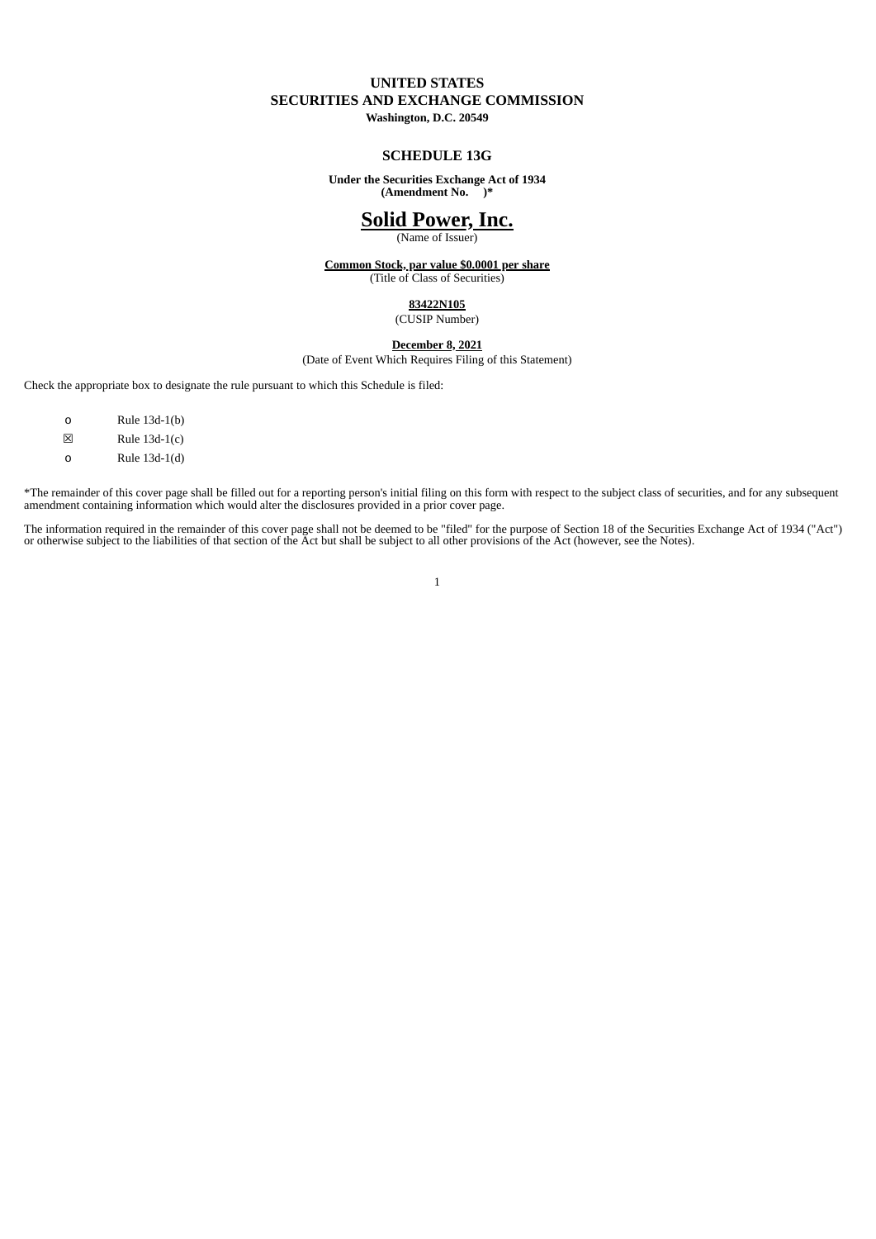## **UNITED STATES SECURITIES AND EXCHANGE COMMISSION Washington, D.C. 20549**

## **SCHEDULE 13G**

**Under the Securities Exchange Act of 1934 (Amendment No. )\***

# **Solid Power, Inc.**

(Name of Issuer)

**Common Stock, par value \$0.0001 per share** (Title of Class of Securities)

#### **83422N105**

(CUSIP Number)

## **December 8, 2021**

(Date of Event Which Requires Filing of this Statement)

Check the appropriate box to designate the rule pursuant to which this Schedule is filed:

| O | Rule 13d-1(b)   |
|---|-----------------|
| ⊠ | Rule $13d-1(c)$ |
| O | Rule 13d-1(d)   |

\*The remainder of this cover page shall be filled out for a reporting person's initial filing on this form with respect to the subject class of securities, and for any subsequent amendment containing information which would alter the disclosures provided in a prior cover page.

The information required in the remainder of this cover page shall not be deemed to be "filed" for the purpose of Section 18 of the Securities Exchange Act of 1934 ("Act") or otherwise subject to the liabilities of that section of the Act but shall be subject to all other provisions of the Act (however, see the Notes).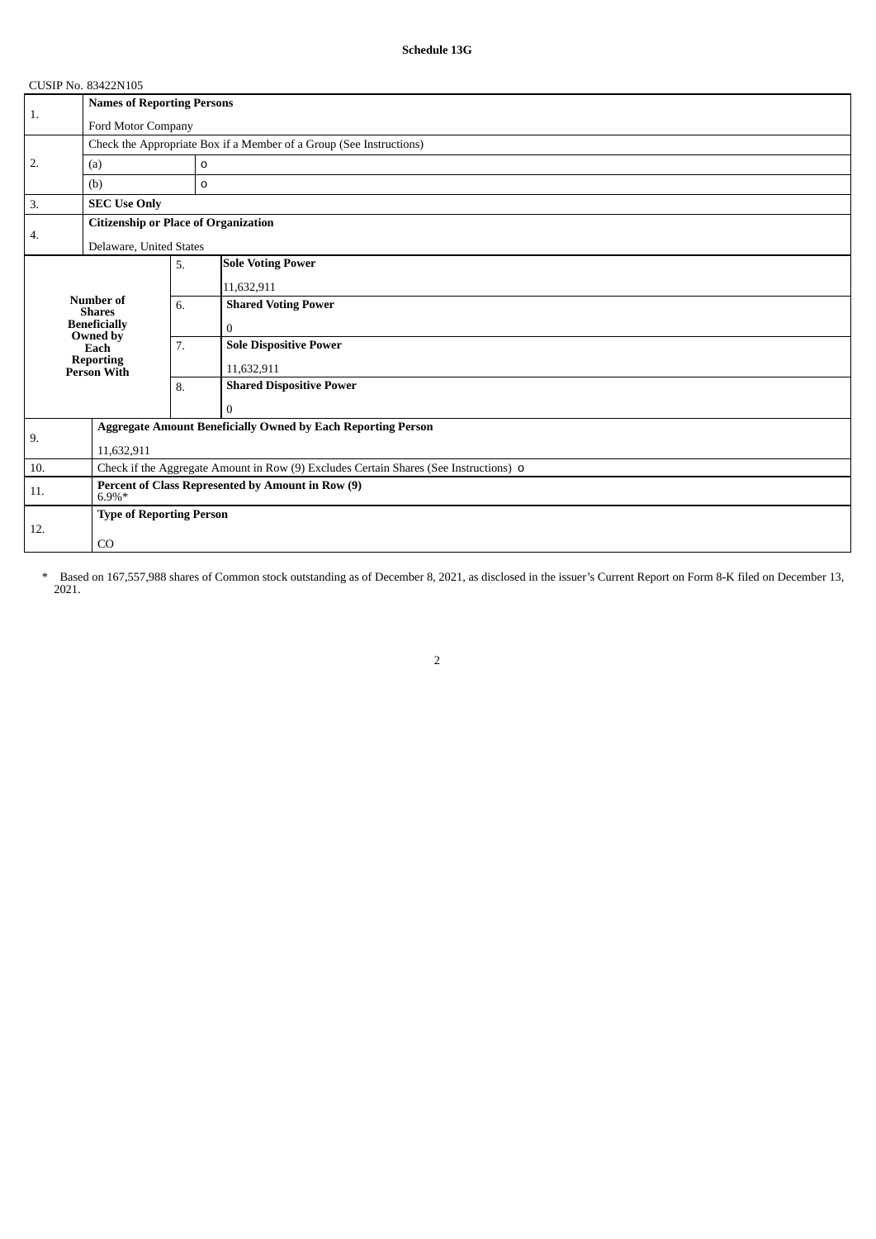| 1.                                                                           | <b>Names of Reporting Persons</b>                                                     |                                             |                                                                     |  |
|------------------------------------------------------------------------------|---------------------------------------------------------------------------------------|---------------------------------------------|---------------------------------------------------------------------|--|
|                                                                              | Ford Motor Company                                                                    |                                             |                                                                     |  |
|                                                                              | Check the Appropriate Box if a Member of a Group (See Instructions)                   |                                             |                                                                     |  |
| 2.                                                                           | (a)<br>0                                                                              |                                             |                                                                     |  |
|                                                                              | (b)                                                                                   | 0                                           |                                                                     |  |
| 3.                                                                           | <b>SEC Use Only</b>                                                                   |                                             |                                                                     |  |
| 4.                                                                           |                                                                                       | <b>Citizenship or Place of Organization</b> |                                                                     |  |
|                                                                              | Delaware, United States                                                               |                                             |                                                                     |  |
|                                                                              |                                                                                       | 5.                                          | <b>Sole Voting Power</b>                                            |  |
|                                                                              |                                                                                       |                                             | 11,632,911                                                          |  |
| <b>Number of</b><br><b>Shares</b><br><b>Beneficially</b><br>Owned by<br>Each |                                                                                       | 6.                                          | <b>Shared Voting Power</b>                                          |  |
|                                                                              |                                                                                       |                                             | $\bf{0}$                                                            |  |
|                                                                              |                                                                                       | 7.                                          | <b>Sole Dispositive Power</b>                                       |  |
|                                                                              | <b>Reporting<br/>Person With</b>                                                      |                                             | 11,632,911                                                          |  |
|                                                                              |                                                                                       | 8.                                          | <b>Shared Dispositive Power</b>                                     |  |
|                                                                              |                                                                                       |                                             | $\Omega$                                                            |  |
|                                                                              |                                                                                       |                                             | <b>Aggregate Amount Beneficially Owned by Each Reporting Person</b> |  |
| 9.                                                                           | 11,632,911                                                                            |                                             |                                                                     |  |
| 10.                                                                          | Check if the Aggregate Amount in Row (9) Excludes Certain Shares (See Instructions) 0 |                                             |                                                                     |  |
| 11.                                                                          | Percent of Class Represented by Amount in Row (9)<br>$6.9\%*$                         |                                             |                                                                     |  |
|                                                                              |                                                                                       | <b>Type of Reporting Person</b>             |                                                                     |  |
| 12.                                                                          | CO                                                                                    |                                             |                                                                     |  |

\* Based on 167,557,988 shares of Common stock outstanding as of December 8, 2021, as disclosed in the issuer's Current Report on Form 8-K filed on December 13, 2021.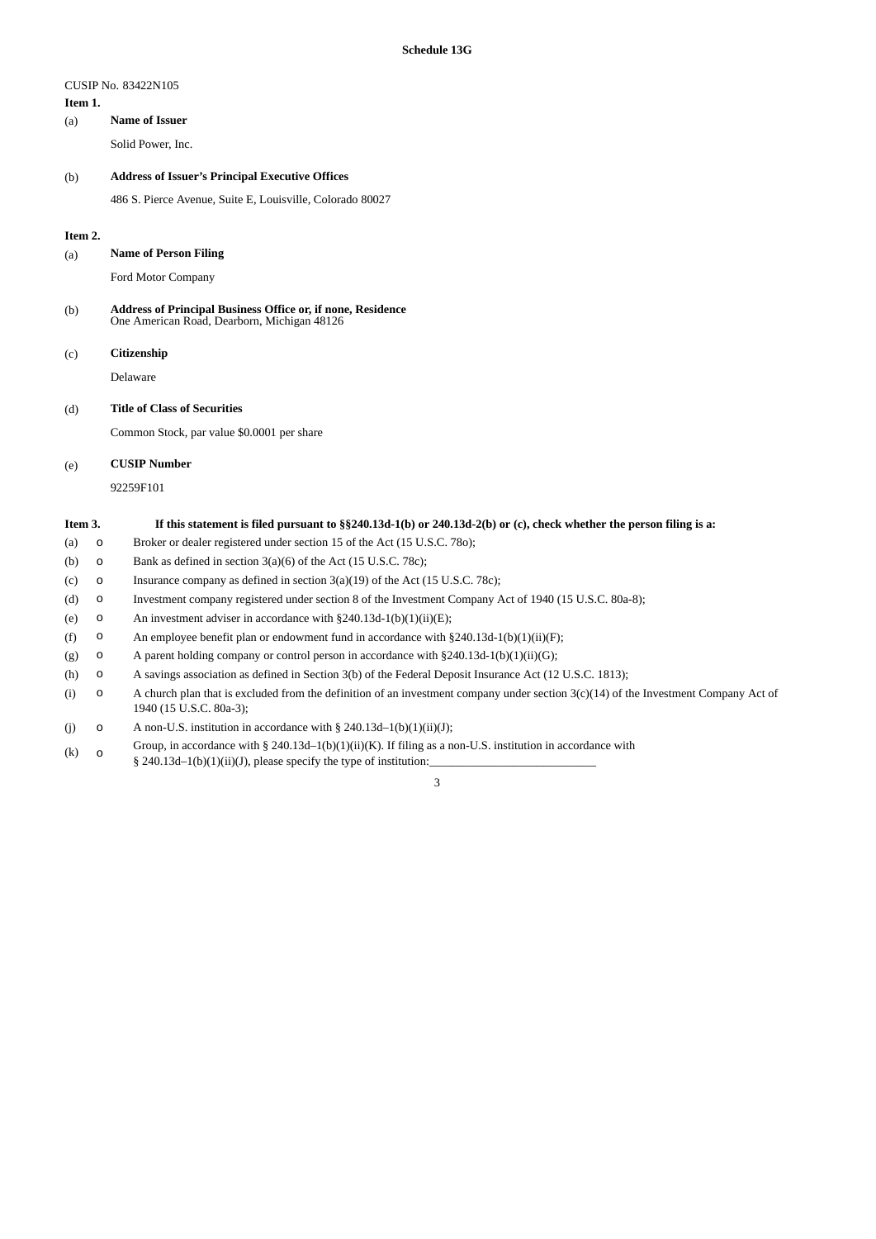#### **Item 1.**

## (a) **Name of Issuer**

Solid Power, Inc.

## (b) **Address of Issuer's Principal Executive Offices**

486 S. Pierce Avenue, Suite E, Louisville, Colorado 80027

#### **Item 2.**

(a) **Name of Person Filing**

Ford Motor Company

(b) **Address of Principal Business Office or, if none, Residence** One American Road, Dearborn, Michigan 48126

#### (c) **Citizenship**

Delaware

## (d) **Title of Class of Securities**

Common Stock, par value \$0.0001 per share

## (e) **CUSIP Number**

92259F101

| Item 3. |  | If this statement is filed pursuant to $\S$ §240.13d-1(b) or 240.13d-2(b) or (c), check whether the person filing is a: |
|---------|--|-------------------------------------------------------------------------------------------------------------------------|
| $(a)$ 0 |  | Broker or dealer registered under section 15 of the Act (15 U.S.C. 780);                                                |
| (b)     |  | Bank as defined in section $3(a)(6)$ of the Act (15 U.S.C. 78c);                                                        |

- (c) o Insurance company as defined in section 3(a)(19) of the Act (15 U.S.C. 78c);
- (d) o Investment company registered under section 8 of the Investment Company Act of 1940 (15 U.S.C. 80a-8);
- (e) 0 An investment adviser in accordance with  $\S 240.13d-1(b)(1)(ii)(E)$ ;
- (f) o An employee benefit plan or endowment fund in accordance with  $\S 240.13d-1(b)(1)(ii)(F)$ ;
- (g) o A parent holding company or control person in accordance with  $\S 240.13d-1(b)(1)(ii)(G);$
- (h) o A savings association as defined in Section 3(b) of the Federal Deposit Insurance Act (12 U.S.C. 1813);
- (i) o A church plan that is excluded from the definition of an investment company under section 3(c)(14) of the Investment Company Act of 1940 (15 U.S.C. 80a-3);
- (j) o A non-U.S. institution in accordance with § 240.13d–1(b)(1)(ii)(J);
- (k) o Group, in accordance with § 240.13d-1(b)(1)(ii)(K). If filing as a non-U.S. institution in accordance with
- § 240.13d-1(b)(1)(ii)(J), please specify the type of institution: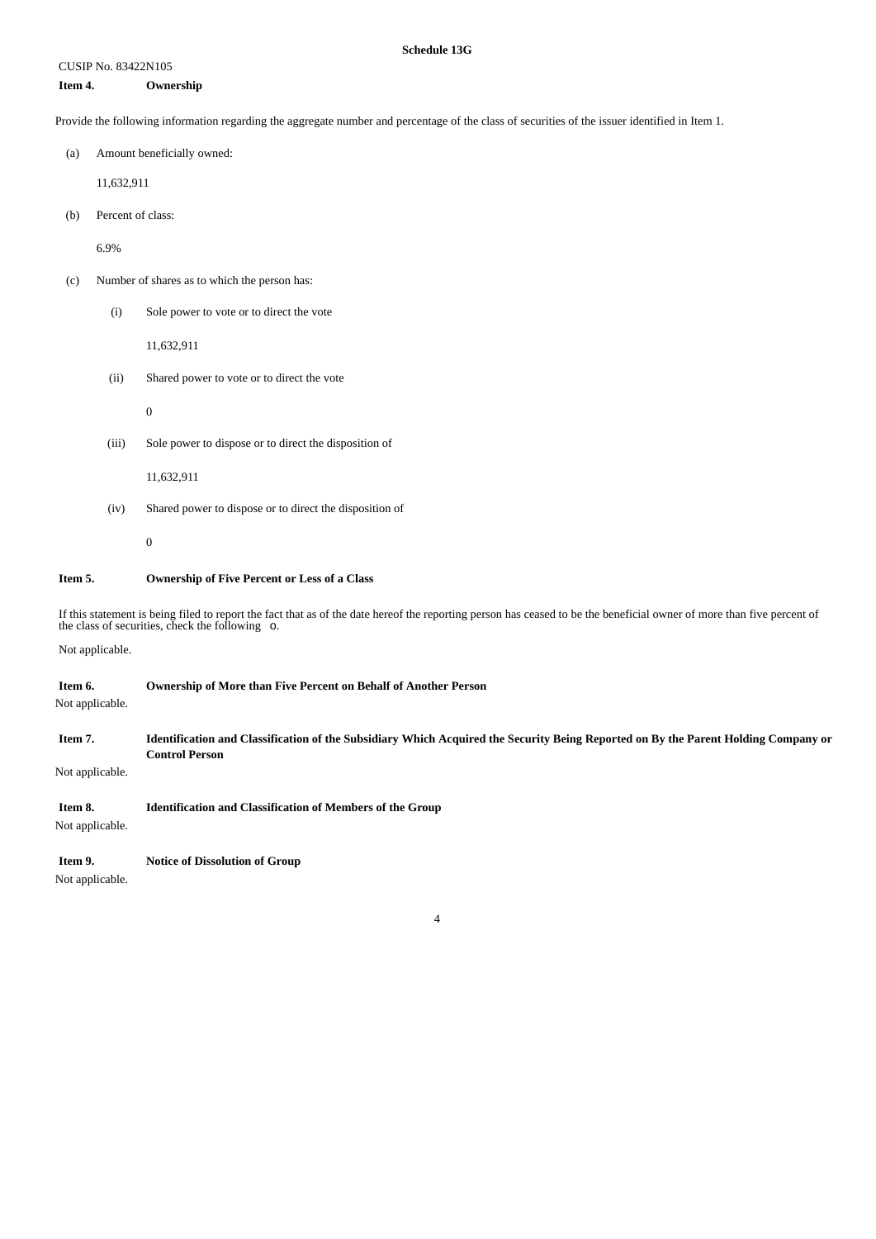### **Item 4. Ownership**

Provide the following information regarding the aggregate number and percentage of the class of securities of the issuer identified in Item 1.

(a) Amount beneficially owned:

11,632,911

(b) Percent of class:

6.9%

- (c) Number of shares as to which the person has:
	- (i) Sole power to vote or to direct the vote

11,632,911

(ii) Shared power to vote or to direct the vote

0

(iii) Sole power to dispose or to direct the disposition of

11,632,911

(iv) Shared power to dispose or to direct the disposition of

0

#### **Item 5. Ownership of Five Percent or Less of a Class**

If this statement is being filed to report the fact that as of the date hereof the reporting person has ceased to be the beneficial owner of more than five percent of the class of securities, check the following o.

Not applicable.

| Item 6.<br>Not applicable. | <b>Ownership of More than Five Percent on Behalf of Another Person</b>                                                                                      |
|----------------------------|-------------------------------------------------------------------------------------------------------------------------------------------------------------|
| Item 7.<br>Not applicable. | Identification and Classification of the Subsidiary Which Acquired the Security Being Reported on By the Parent Holding Company or<br><b>Control Person</b> |
| Item 8.<br>Not applicable. | <b>Identification and Classification of Members of the Group</b>                                                                                            |

| Item 9.         | <b>Notice of Dissolution of Group</b> |
|-----------------|---------------------------------------|
| Not applicable. |                                       |